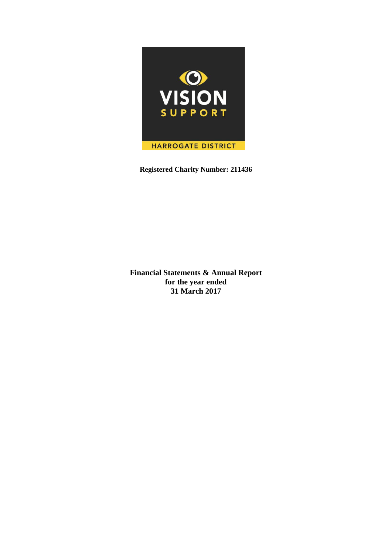

**Registered Charity Number: 211436**

**Financial Statements & Annual Report for the year ended 31 March 2017**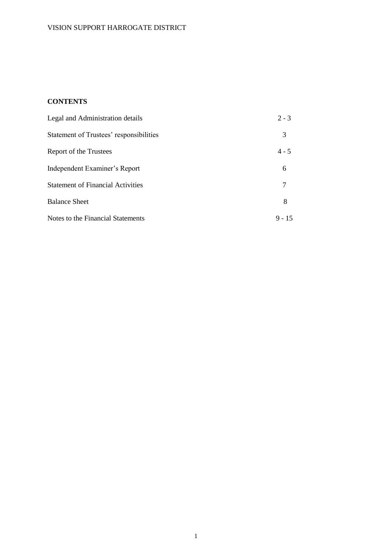# **CONTENTS**

| Legal and Administration details         | $2 - 3$  |
|------------------------------------------|----------|
| Statement of Trustees' responsibilities  | 3        |
| Report of the Trustees                   | $4 - 5$  |
| Independent Examiner's Report            | 6        |
| <b>Statement of Financial Activities</b> | 7        |
| <b>Balance Sheet</b>                     | 8        |
| Notes to the Financial Statements        | $9 - 15$ |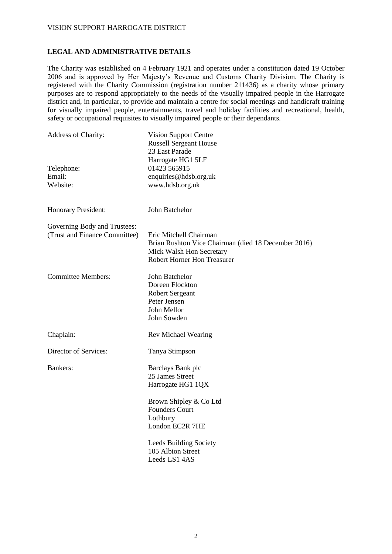#### **LEGAL AND ADMINISTRATIVE DETAILS**

The Charity was established on 4 February 1921 and operates under a constitution dated 19 October 2006 and is approved by Her Majesty's Revenue and Customs Charity Division. The Charity is registered with the Charity Commission (registration number 211436) as a charity whose primary purposes are to respond appropriately to the needs of the visually impaired people in the Harrogate district and, in particular, to provide and maintain a centre for social meetings and handicraft training for visually impaired people, entertainments, travel and holiday facilities and recreational, health, safety or occupational requisites to visually impaired people or their dependants.

| Address of Charity:<br>Telephone:                             | <b>Vision Support Centre</b><br><b>Russell Sergeant House</b><br>23 East Parade<br>Harrogate HG1 5LF<br>01423 565915                            |
|---------------------------------------------------------------|-------------------------------------------------------------------------------------------------------------------------------------------------|
| Email:<br>Website:                                            | enquiries@hdsb.org.uk<br>www.hdsb.org.uk                                                                                                        |
| Honorary President:                                           | John Batchelor                                                                                                                                  |
| Governing Body and Trustees:<br>(Trust and Finance Committee) | Eric Mitchell Chairman<br>Brian Rushton Vice Chairman (died 18 December 2016)<br>Mick Walsh Hon Secretary<br><b>Robert Horner Hon Treasurer</b> |
| <b>Committee Members:</b>                                     | John Batchelor<br>Doreen Flockton<br><b>Robert Sergeant</b><br>Peter Jensen<br>John Mellor<br>John Sowden                                       |
| Chaplain:                                                     | <b>Rev Michael Wearing</b>                                                                                                                      |
| Director of Services:                                         | Tanya Stimpson                                                                                                                                  |
| Bankers:                                                      | Barclays Bank plc<br>25 James Street<br>Harrogate HG1 1QX                                                                                       |
|                                                               | Brown Shipley & Co Ltd<br><b>Founders Court</b><br>Lothbury<br>London EC2R 7HE                                                                  |
|                                                               | <b>Leeds Building Society</b><br>105 Albion Street<br>Leeds LS1 4AS                                                                             |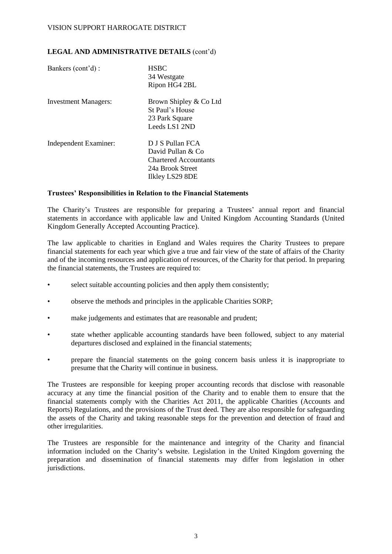### **LEGAL AND ADMINISTRATIVE DETAILS** (cont'd)

| Bankers (cont'd):           | <b>HSBC</b><br>34 Westgate<br>Ripon HG4 2BL                                                                  |
|-----------------------------|--------------------------------------------------------------------------------------------------------------|
| <b>Investment Managers:</b> | Brown Shipley & Co Ltd<br>St Paul's House<br>23 Park Square<br>Leeds LS1 2ND                                 |
| Independent Examiner:       | D J S Pullan FCA<br>David Pullan & Co<br><b>Chartered Accountants</b><br>24a Brook Street<br>Ilkley LS29 8DE |

#### **Trustees' Responsibilities in Relation to the Financial Statements**

The Charity's Trustees are responsible for preparing a Trustees' annual report and financial statements in accordance with applicable law and United Kingdom Accounting Standards (United Kingdom Generally Accepted Accounting Practice).

The law applicable to charities in England and Wales requires the Charity Trustees to prepare financial statements for each year which give a true and fair view of the state of affairs of the Charity and of the incoming resources and application of resources, of the Charity for that period. In preparing the financial statements, the Trustees are required to:

- select suitable accounting policies and then apply them consistently;
- observe the methods and principles in the applicable Charities SORP;
- make judgements and estimates that are reasonable and prudent;
- state whether applicable accounting standards have been followed, subject to any material departures disclosed and explained in the financial statements;
- prepare the financial statements on the going concern basis unless it is inappropriate to presume that the Charity will continue in business.

The Trustees are responsible for keeping proper accounting records that disclose with reasonable accuracy at any time the financial position of the Charity and to enable them to ensure that the financial statements comply with the Charities Act 2011, the applicable Charities (Accounts and Reports) Regulations, and the provisions of the Trust deed. They are also responsible for safeguarding the assets of the Charity and taking reasonable steps for the prevention and detection of fraud and other irregularities.

The Trustees are responsible for the maintenance and integrity of the Charity and financial information included on the Charity's website. Legislation in the United Kingdom governing the preparation and dissemination of financial statements may differ from legislation in other jurisdictions.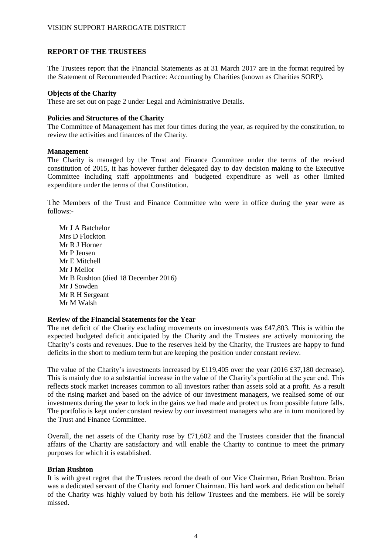#### **REPORT OF THE TRUSTEES**

The Trustees report that the Financial Statements as at 31 March 2017 are in the format required by the Statement of Recommended Practice: Accounting by Charities (known as Charities SORP).

#### **Objects of the Charity**

These are set out on page 2 under Legal and Administrative Details.

#### **Policies and Structures of the Charity**

The Committee of Management has met four times during the year, as required by the constitution, to review the activities and finances of the Charity.

#### **Management**

The Charity is managed by the Trust and Finance Committee under the terms of the revised constitution of 2015, it has however further delegated day to day decision making to the Executive Committee including staff appointments and budgeted expenditure as well as other limited expenditure under the terms of that Constitution.

The Members of the Trust and Finance Committee who were in office during the year were as follows:-

Mr J A Batchelor Mrs D Flockton Mr R J Horner Mr P Jensen Mr E Mitchell Mr J Mellor Mr B Rushton (died 18 December 2016) Mr J Sowden Mr R H Sergeant Mr M Walsh

#### **Review of the Financial Statements for the Year**

The net deficit of the Charity excluding movements on investments was £47,803. This is within the expected budgeted deficit anticipated by the Charity and the Trustees are actively monitoring the Charity's costs and revenues. Due to the reserves held by the Charity, the Trustees are happy to fund deficits in the short to medium term but are keeping the position under constant review.

The value of the Charity's investments increased by £119,405 over the year (2016 £37,180 decrease). This is mainly due to a substantial increase in the value of the Charity's portfolio at the year end. This reflects stock market increases common to all investors rather than assets sold at a profit. As a result of the rising market and based on the advice of our investment managers, we realised some of our investments during the year to lock in the gains we had made and protect us from possible future falls. The portfolio is kept under constant review by our investment managers who are in turn monitored by the Trust and Finance Committee.

Overall, the net assets of the Charity rose by £71,602 and the Trustees consider that the financial affairs of the Charity are satisfactory and will enable the Charity to continue to meet the primary purposes for which it is established.

#### **Brian Rushton**

It is with great regret that the Trustees record the death of our Vice Chairman, Brian Rushton. Brian was a dedicated servant of the Charity and former Chairman. His hard work and dedication on behalf of the Charity was highly valued by both his fellow Trustees and the members. He will be sorely missed.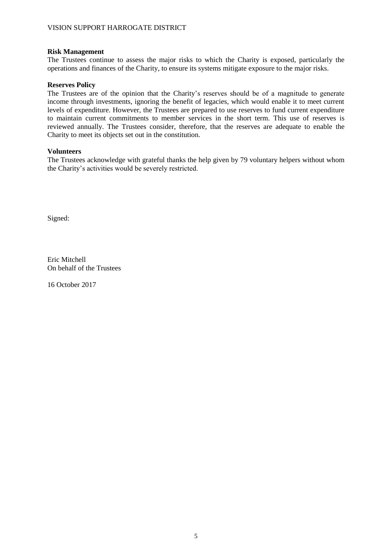#### **Risk Management**

The Trustees continue to assess the major risks to which the Charity is exposed, particularly the operations and finances of the Charity, to ensure its systems mitigate exposure to the major risks.

#### **Reserves Policy**

The Trustees are of the opinion that the Charity's reserves should be of a magnitude to generate income through investments, ignoring the benefit of legacies, which would enable it to meet current levels of expenditure. However, the Trustees are prepared to use reserves to fund current expenditure to maintain current commitments to member services in the short term. This use of reserves is reviewed annually. The Trustees consider, therefore, that the reserves are adequate to enable the Charity to meet its objects set out in the constitution.

#### **Volunteers**

The Trustees acknowledge with grateful thanks the help given by 79 voluntary helpers without whom the Charity's activities would be severely restricted.

Signed:

Eric Mitchell On behalf of the Trustees

16 October 2017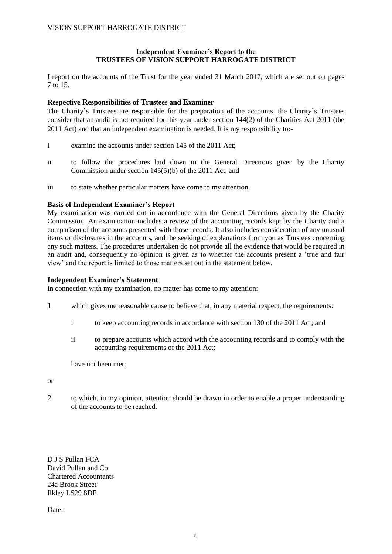#### **Independent Examiner's Report to the TRUSTEES OF VISION SUPPORT HARROGATE DISTRICT**

I report on the accounts of the Trust for the year ended 31 March 2017, which are set out on pages 7 to 15.

### **Respective Responsibilities of Trustees and Examiner**

The Charity's Trustees are responsible for the preparation of the accounts. the Charity's Trustees consider that an audit is not required for this year under section 144(2) of the Charities Act 2011 (the 2011 Act) and that an independent examination is needed. It is my responsibility to:-

- i examine the accounts under section 145 of the 2011 Act;
- ii to follow the procedures laid down in the General Directions given by the Charity Commission under section 145(5)(b) of the 2011 Act; and
- iii to state whether particular matters have come to my attention.

#### **Basis of Independent Examiner's Report**

My examination was carried out in accordance with the General Directions given by the Charity Commission. An examination includes a review of the accounting records kept by the Charity and a comparison of the accounts presented with those records. It also includes consideration of any unusual items or disclosures in the accounts, and the seeking of explanations from you as Trustees concerning any such matters. The procedures undertaken do not provide all the evidence that would be required in an audit and, consequently no opinion is given as to whether the accounts present a 'true and fair view' and the report is limited to those matters set out in the statement below.

#### **Independent Examiner's Statement**

In connection with my examination, no matter has come to my attention:

- 1 which gives me reasonable cause to believe that, in any material respect, the requirements:
	- i to keep accounting records in accordance with section 130 of the 2011 Act; and
	- ii to prepare accounts which accord with the accounting records and to comply with the accounting requirements of the 2011 Act;

have not been met;

or

2 to which, in my opinion, attention should be drawn in order to enable a proper understanding of the accounts to be reached.

D J S Pullan FCA David Pullan and Co Chartered Accountants 24a Brook Street Ilkley LS29 8DE

Date: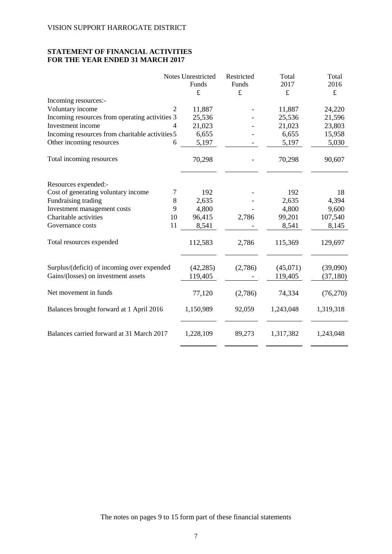## **STATEMENT OF FINANCIAL ACTIVITIES FOR THE YEAR ENDED 31 MARCH 2017**

|                                                 |                | Notes Unrestricted | Restricted | Total     | Total     |
|-------------------------------------------------|----------------|--------------------|------------|-----------|-----------|
|                                                 |                | Funds              | Funds      | 2017      | 2016      |
|                                                 |                | £                  | £          | $\pounds$ | $\pounds$ |
| Incoming resources:-                            |                |                    |            |           |           |
| Voluntary income                                | $\overline{c}$ | 11,887             |            | 11,887    | 24,220    |
| Incoming resources from operating activities 3  |                | 25,536             |            | 25,536    | 21,596    |
| Investment income                               | 4              | 21,023             |            | 21,023    | 23,803    |
| Incoming resources from charitable activities 5 |                | 6,655              |            | 6,655     | 15,958    |
| Other incoming resources                        | 6              | 5,197              |            | 5,197     | 5,030     |
| Total incoming resources                        |                | 70,298             |            | 70,298    | 90,607    |
| Resources expended:-                            |                |                    |            |           |           |
| Cost of generating voluntary income             | 7              | 192                |            | 192       | 18        |
| Fundraising trading                             | 8              | 2,635              |            | 2,635     | 4,394     |
| Investment management costs                     | 9              | 4,800              |            | 4,800     | 9,600     |
| Charitable activities                           | 10             | 96,415             | 2,786      | 99,201    | 107,540   |
| Governance costs                                | 11             | 8,541              |            | 8,541     | 8,145     |
| Total resources expended                        |                | 112,583            | 2,786      | 115,369   | 129,697   |
| Surplus/(deficit) of incoming over expended     |                | (42, 285)          | (2,786)    | (45,071)  | (39,090)  |
| Gains/(losses) on investment assets             |                | 119,405            |            | 119,405   | (37, 180) |
| Net movement in funds                           |                | 77,120             | (2,786)    | 74,334    | (76,270)  |
| Balances brought forward at 1 April 2016        |                | 1,150,989          | 92,059     | 1,243,048 | 1,319,318 |
| Balances carried forward at 31 March 2017       |                | 1,228,109          | 89,273     | 1,317,382 | 1,243,048 |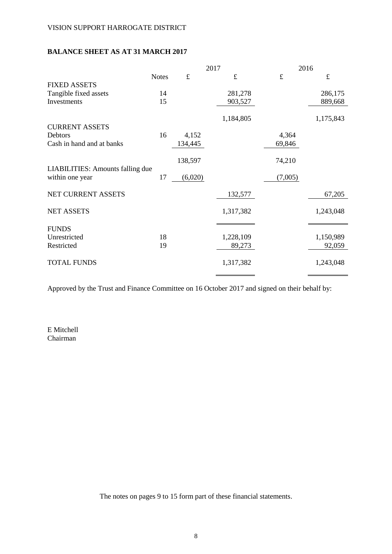## **BALANCE SHEET AS AT 31 MARCH 2017**

|              | 2017                 |                                        |                                                                                             | 2016                                 |
|--------------|----------------------|----------------------------------------|---------------------------------------------------------------------------------------------|--------------------------------------|
| <b>Notes</b> | $\mathbf f$          | $\pounds$                              | $\pounds$                                                                                   | $\pounds$                            |
|              |                      |                                        |                                                                                             |                                      |
|              |                      |                                        |                                                                                             | 286,175                              |
| 15           |                      |                                        |                                                                                             | 889,668                              |
|              |                      |                                        |                                                                                             |                                      |
|              |                      |                                        |                                                                                             | 1,175,843                            |
|              |                      |                                        |                                                                                             |                                      |
| 16           |                      |                                        |                                                                                             |                                      |
|              |                      |                                        |                                                                                             |                                      |
|              |                      |                                        |                                                                                             |                                      |
|              |                      |                                        |                                                                                             |                                      |
|              |                      |                                        |                                                                                             |                                      |
|              |                      |                                        |                                                                                             |                                      |
|              |                      |                                        |                                                                                             |                                      |
|              |                      |                                        |                                                                                             | 67,205                               |
|              |                      |                                        |                                                                                             |                                      |
|              |                      |                                        |                                                                                             | 1,243,048                            |
|              |                      |                                        |                                                                                             |                                      |
|              |                      |                                        |                                                                                             |                                      |
|              |                      |                                        |                                                                                             | 1,150,989                            |
|              |                      |                                        |                                                                                             | 92,059                               |
|              |                      |                                        |                                                                                             |                                      |
|              |                      |                                        |                                                                                             | 1,243,048                            |
|              |                      |                                        |                                                                                             |                                      |
|              | 14<br>17<br>18<br>19 | 4,152<br>134,445<br>138,597<br>(6,020) | 281,278<br>903,527<br>1,184,805<br>132,577<br>1,317,382<br>1,228,109<br>89,273<br>1,317,382 | 4,364<br>69,846<br>74,210<br>(7,005) |

Approved by the Trust and Finance Committee on 16 October 2017 and signed on their behalf by:

E Mitchell Chairman

The notes on pages 9 to 15 form part of these financial statements.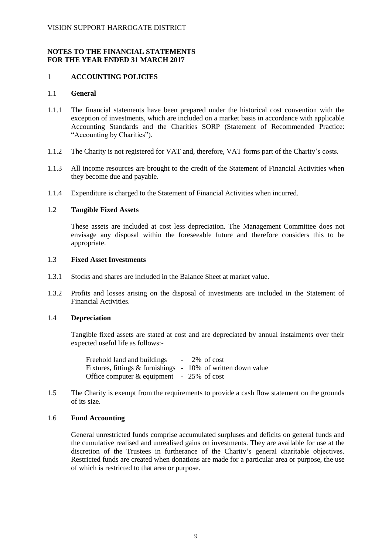#### **NOTES TO THE FINANCIAL STATEMENTS FOR THE YEAR ENDED 31 MARCH 2017**

### 1 **ACCOUNTING POLICIES**

#### 1.1 **General**

- 1.1.1 The financial statements have been prepared under the historical cost convention with the exception of investments, which are included on a market basis in accordance with applicable Accounting Standards and the Charities SORP (Statement of Recommended Practice: "Accounting by Charities").
- 1.1.2 The Charity is not registered for VAT and, therefore, VAT forms part of the Charity's costs.
- 1.1.3 All income resources are brought to the credit of the Statement of Financial Activities when they become due and payable.
- 1.1.4 Expenditure is charged to the Statement of Financial Activities when incurred.

#### 1.2 **Tangible Fixed Assets**

These assets are included at cost less depreciation. The Management Committee does not envisage any disposal within the foreseeable future and therefore considers this to be appropriate.

#### 1.3 **Fixed Asset Investments**

- 1.3.1 Stocks and shares are included in the Balance Sheet at market value.
- 1.3.2 Profits and losses arising on the disposal of investments are included in the Statement of Financial Activities.

#### 1.4 **Depreciation**

Tangible fixed assets are stated at cost and are depreciated by annual instalments over their expected useful life as follows:-

Freehold land and buildings - 2% of cost Fixtures, fittings & furnishings - 10% of written down value Office computer  $&$  equipment - 25% of cost

1.5 The Charity is exempt from the requirements to provide a cash flow statement on the grounds of its size.

#### 1.6 **Fund Accounting**

General unrestricted funds comprise accumulated surpluses and deficits on general funds and the cumulative realised and unrealised gains on investments. They are available for use at the discretion of the Trustees in furtherance of the Charity's general charitable objectives. Restricted funds are created when donations are made for a particular area or purpose, the use of which is restricted to that area or purpose.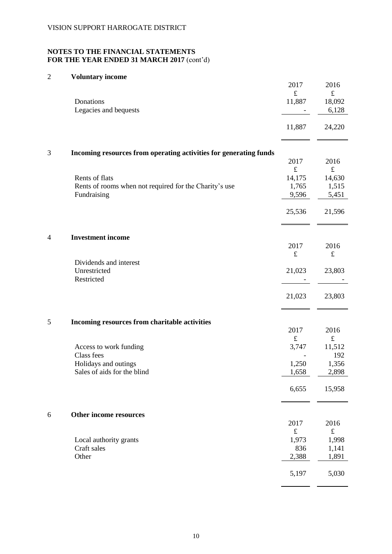## 2 **Voluntary income**

|   |                                                                       | 2017<br>$\pounds$ | 2016<br>$\pounds$ |
|---|-----------------------------------------------------------------------|-------------------|-------------------|
|   | Donations<br>Legacies and bequests                                    | 11,887            | 18,092<br>6,128   |
|   |                                                                       | 11,887            | 24,220            |
| 3 | Incoming resources from operating activities for generating funds     |                   |                   |
|   |                                                                       | 2017<br>$\pounds$ | 2016<br>$\pounds$ |
|   | Rents of flats                                                        | 14,175            | 14,630            |
|   | Rents of rooms when not required for the Charity's use<br>Fundraising | 1,765<br>9,596    | 1,515<br>5,451    |
|   |                                                                       | 25,536            | 21,596            |
| 4 | <b>Investment income</b>                                              |                   |                   |
|   |                                                                       | 2017<br>$\pounds$ | 2016<br>$\pounds$ |
|   | Dividends and interest<br>Unrestricted                                | 21,023            | 23,803            |
|   | Restricted                                                            |                   |                   |
|   |                                                                       | 21,023            | 23,803            |
| 5 | Incoming resources from charitable activities                         |                   |                   |
|   |                                                                       | 2017<br>$\pounds$ | 2016<br>$\pounds$ |
|   | Access to work funding                                                | 3,747             | 11,512            |
|   | Class fees                                                            |                   | 192               |
|   | Holidays and outings<br>Sales of aids for the blind                   | 1,250<br>1,658    | 1,356<br>2,898    |
|   |                                                                       | 6,655             | 15,958            |
| 6 | Other income resources                                                |                   |                   |
|   |                                                                       | 2017<br>$\pounds$ | 2016<br>$\pounds$ |
|   | Local authority grants                                                | 1,973             | 1,998             |
|   | Craft sales<br>Other                                                  | 836<br>2,388      | 1,141<br>1,891    |
|   |                                                                       | 5,197             | 5,030             |
|   |                                                                       |                   |                   |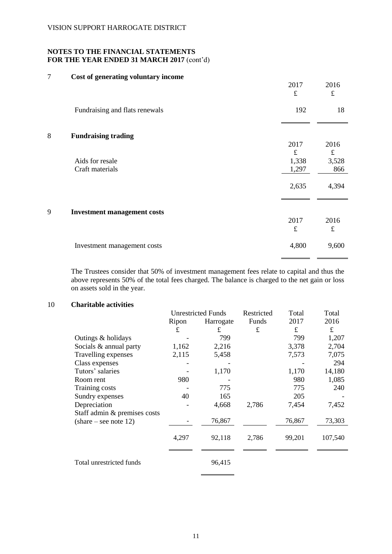| 7 | Cost of generating voluntary income | 2017<br>$\pounds$   | 2016<br>$\pounds$         |
|---|-------------------------------------|---------------------|---------------------------|
|   | Fundraising and flats renewals      | 192                 | 18                        |
| 8 | <b>Fundraising trading</b>          | 2017                | 2016                      |
|   | Aids for resale<br>Craft materials  | f<br>1,338<br>1,297 | $\pounds$<br>3,528<br>866 |
|   |                                     | 2,635               | 4,394                     |
| 9 | <b>Investment management costs</b>  | 2017<br>$\pounds$   | 2016<br>$\pounds$         |
|   | Investment management costs         | 4,800               | 9,600                     |

The Trustees consider that 50% of investment management fees relate to capital and thus the above represents 50% of the total fees charged. The balance is charged to the net gain or loss on assets sold in the year.

## 10 **Charitable activities**

|                                        |       | <b>Unrestricted Funds</b> | Restricted | Total  | Total   |
|----------------------------------------|-------|---------------------------|------------|--------|---------|
|                                        | Ripon | Harrogate                 | Funds      | 2017   | 2016    |
|                                        | £     | £                         | £          | £      | £       |
| Outings & holidays                     |       | 799                       |            | 799    | 1,207   |
| Socials & annual party                 | 1,162 | 2,216                     |            | 3,378  | 2,704   |
| Travelling expenses                    | 2,115 | 5,458                     |            | 7,573  | 7,075   |
| Class expenses                         |       |                           |            |        | 294     |
| Tutors' salaries                       |       | 1,170                     |            | 1,170  | 14,180  |
| Room rent                              | 980   |                           |            | 980    | 1,085   |
| Training costs                         |       | 775                       |            | 775    | 240     |
| Sundry expenses                        | 40    | 165                       |            | 205    |         |
| Depreciation                           |       | 4,668                     | 2,786      | 7,454  | 7,452   |
| Staff admin & premises costs           |       |                           |            |        |         |
| $(\text{share} - \text{see note } 12)$ |       | 76,867                    |            | 76,867 | 73,303  |
|                                        |       |                           |            |        |         |
|                                        | 4,297 | 92,118                    | 2,786      | 99,201 | 107,540 |
|                                        |       |                           |            |        |         |
| Total unrestricted funds               |       | 96,415                    |            |        |         |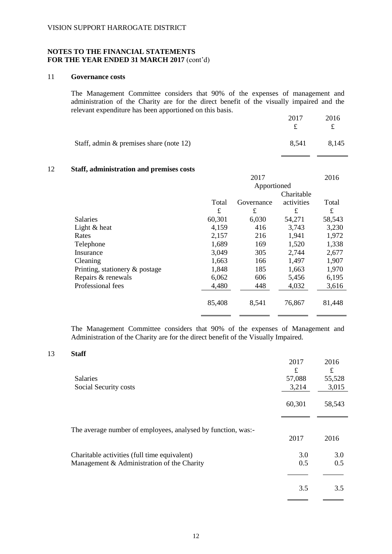### 11 **Governance costs**

The Management Committee considers that 90% of the expenses of management and administration of the Charity are for the direct benefit of the visually impaired and the relevant expenditure has been apportioned on this basis.

|                                         | 2017  | 2016  |
|-----------------------------------------|-------|-------|
|                                         | f.    | £     |
| Staff, admin & premises share (note 12) | 8.541 | 8.145 |

 $\overline{\phantom{a}}$  $\overline{\phantom{0}}$ 

### 12 **Staff, administration and premises costs**

|                                |             | 2017       |            | 2016   |
|--------------------------------|-------------|------------|------------|--------|
|                                | Apportioned |            |            |        |
|                                |             |            | Charitable |        |
|                                | Total       | Governance | activities | Total  |
|                                | $\pounds$   | £          | £          | £      |
| <b>Salaries</b>                | 60,301      | 6,030      | 54,271     | 58,543 |
| Light & heat                   | 4,159       | 416        | 3,743      | 3,230  |
| Rates                          | 2,157       | 216        | 1,941      | 1,972  |
| Telephone                      | 1,689       | 169        | 1,520      | 1,338  |
| Insurance                      | 3,049       | 305        | 2,744      | 2,677  |
| Cleaning                       | 1,663       | 166        | 1,497      | 1,907  |
| Printing, stationery & postage | 1,848       | 185        | 1,663      | 1,970  |
| Repairs & renewals             | 6,062       | 606        | 5,456      | 6,195  |
| Professional fees              | 4,480       | 448        | 4,032      | 3,616  |
|                                |             |            |            |        |
|                                | 85,408      | 8,541      | 76,867     | 81,448 |
|                                |             |            |            |        |

The Management Committee considers that 90% of the expenses of Management and Administration of the Charity are for the direct benefit of the Visually Impaired.

#### 13 **Staff**

| <b>Salaries</b><br>Social Security costs                                                   | 2017<br>£<br>57,088<br>3,214 | 2016<br>$\pounds$<br>55,528<br>3,015 |
|--------------------------------------------------------------------------------------------|------------------------------|--------------------------------------|
|                                                                                            | 60,301                       | 58,543                               |
| The average number of employees, analysed by function, was:-                               | 2017                         | 2016                                 |
| Charitable activities (full time equivalent)<br>Management & Administration of the Charity | 3.0<br>0.5                   | 3.0<br>0.5                           |
|                                                                                            | 3.5                          | 3.5                                  |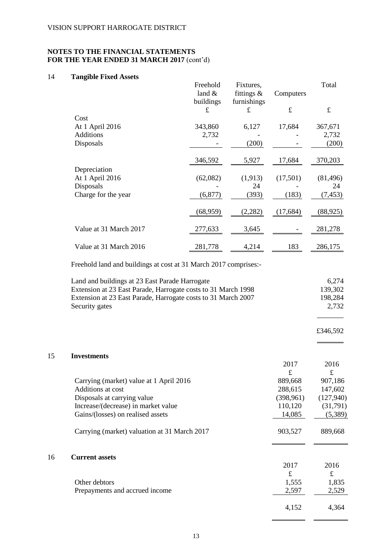## 14 **Tangible Fixed Assets**

15 **Investments**

16 **Current assets**

|                        | Freehold  | Fixtures,     |           | Total     |
|------------------------|-----------|---------------|-----------|-----------|
|                        | land $\&$ | fittings $\&$ | Computers |           |
|                        | buildings | furnishings   |           |           |
|                        | £         | £             | £         | £         |
| Cost                   |           |               |           |           |
| At 1 April 2016        | 343,860   | 6,127         | 17,684    | 367,671   |
| <b>Additions</b>       | 2,732     |               |           | 2,732     |
| Disposals              |           | (200)         |           | (200)     |
|                        |           |               |           |           |
|                        | 346,592   | 5,927         | 17,684    | 370,203   |
| Depreciation           |           |               |           |           |
| At 1 April 2016        | (62,082)  | (1,913)       | (17,501)  | (81, 496) |
| Disposals              |           | 24            |           | 24        |
| Charge for the year    | (6, 877)  | (393)         | (183)     | (7, 453)  |
|                        |           |               |           |           |
|                        | (68,959)  | (2,282)       | (17, 684) | (88, 925) |
|                        |           |               |           |           |
| Value at 31 March 2017 | 277,633   | 3,645         |           | 281,278   |
|                        |           |               |           |           |
| Value at 31 March 2016 | 281,778   | 4,214         | 183       | 286,175   |

Freehold land and buildings at cost at 31 March 2017 comprises:-

| Land and buildings at 23 East Parade Harrogate<br>Extension at 23 East Parade, Harrogate costs to 31 March 1998<br>Extension at 23 East Parade, Harrogate costs to 31 March 2007<br>Security gates |            | 6,274<br>139,302<br>198,284<br>2,732 |
|----------------------------------------------------------------------------------------------------------------------------------------------------------------------------------------------------|------------|--------------------------------------|
|                                                                                                                                                                                                    |            | £346,592                             |
| <b>Investments</b>                                                                                                                                                                                 |            |                                      |
|                                                                                                                                                                                                    | 2017<br>£  | 2016<br>£                            |
| Carrying (market) value at 1 April 2016                                                                                                                                                            | 889,668    | 907,186                              |
| Additions at cost                                                                                                                                                                                  | 288,615    | 147,602                              |
| Disposals at carrying value                                                                                                                                                                        | (398, 961) | (127, 940)                           |
| Increase/(decrease) in market value                                                                                                                                                                | 110,120    | (31,791)                             |
| Gains/(losses) on realised assets                                                                                                                                                                  | 14,085     | (5,389)                              |
| Carrying (market) valuation at 31 March 2017                                                                                                                                                       | 903,527    | 889,668                              |
| <b>Current assets</b>                                                                                                                                                                              |            |                                      |
|                                                                                                                                                                                                    | 2017       | 2016                                 |
|                                                                                                                                                                                                    | £          | f                                    |
| Other debtors                                                                                                                                                                                      | 1,555      | 1,835                                |
| Prepayments and accrued income                                                                                                                                                                     | 2,597      | 2,529                                |
|                                                                                                                                                                                                    | 4,152      | 4,364                                |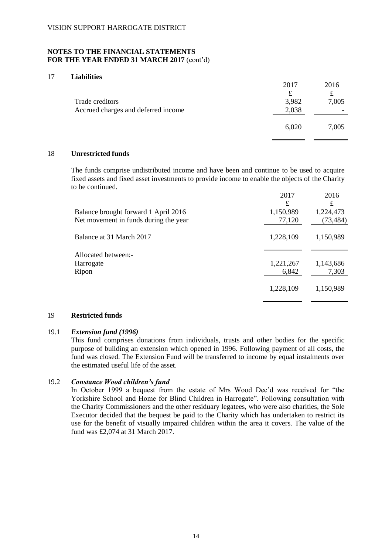#### 17 **Liabilities**

| Trade creditors                     | 2017<br>£<br>3,982 | 2016<br>£<br>7,005 |
|-------------------------------------|--------------------|--------------------|
| Accrued charges and deferred income | 2,038<br>6,020     | -<br>7,005         |

#### 18 **Unrestricted funds**

The funds comprise undistributed income and have been and continue to be used to acquire fixed assets and fixed asset investments to provide income to enable the objects of the Charity to be continued.

|                                       | 2017      | 2016      |
|---------------------------------------|-----------|-----------|
|                                       | £         | £         |
| Balance brought forward 1 April 2016  | 1,150,989 | 1,224,473 |
| Net movement in funds during the year | 77,120    | (73, 484) |
| Balance at 31 March 2017              | 1,228,109 | 1,150,989 |
| Allocated between:-                   |           |           |
| Harrogate                             | 1,221,267 | 1,143,686 |
| Ripon                                 | 6,842     | 7,303     |
|                                       | 1,228,109 | 1,150,989 |

#### 19 **Restricted funds**

#### 19.1 *Extension fund (1996)*

This fund comprises donations from individuals, trusts and other bodies for the specific purpose of building an extension which opened in 1996. Following payment of all costs, the fund was closed. The Extension Fund will be transferred to income by equal instalments over the estimated useful life of the asset.

#### 19.2 *Constance Wood children's fund*

In October 1999 a bequest from the estate of Mrs Wood Dec'd was received for "the Yorkshire School and Home for Blind Children in Harrogate". Following consultation with the Charity Commissioners and the other residuary legatees, who were also charities, the Sole Executor decided that the bequest be paid to the Charity which has undertaken to restrict its use for the benefit of visually impaired children within the area it covers. The value of the fund was £2,074 at 31 March 2017.